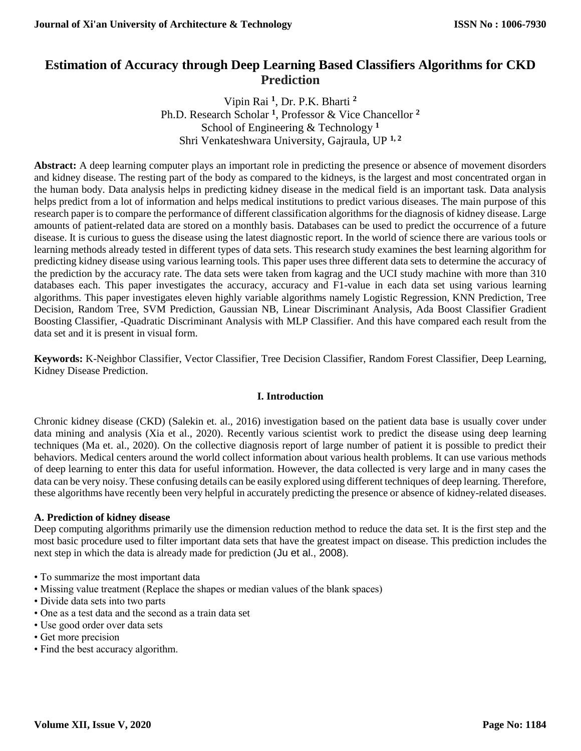# **Estimation of Accuracy through Deep Learning Based Classifiers Algorithms for CKD Prediction**

Vipin Rai **<sup>1</sup>** , Dr. P.K. Bharti **<sup>2</sup>** Ph.D. Research Scholar **<sup>1</sup>** , Professor & Vice Chancellor **<sup>2</sup>** School of Engineering & Technology **<sup>1</sup>** Shri Venkateshwara University, Gajraula, UP **1, 2**

**Abstract:** A deep learning computer plays an important role in predicting the presence or absence of movement disorders and kidney disease. The resting part of the body as compared to the kidneys, is the largest and most concentrated organ in the human body. Data analysis helps in predicting kidney disease in the medical field is an important task. Data analysis helps predict from a lot of information and helps medical institutions to predict various diseases. The main purpose of this research paper is to compare the performance of different classification algorithms for the diagnosis of kidney disease. Large amounts of patient-related data are stored on a monthly basis. Databases can be used to predict the occurrence of a future disease. It is curious to guess the disease using the latest diagnostic report. In the world of science there are various tools or learning methods already tested in different types of data sets. This research study examines the best learning algorithm for predicting kidney disease using various learning tools. This paper uses three different data sets to determine the accuracy of the prediction by the accuracy rate. The data sets were taken from kagrag and the UCI study machine with more than 310 databases each. This paper investigates the accuracy, accuracy and F1-value in each data set using various learning algorithms. This paper investigates eleven highly variable algorithms namely Logistic Regression, KNN Prediction, Tree Decision, Random Tree, SVM Prediction, Gaussian NB, Linear Discriminant Analysis, Ada Boost Classifier Gradient Boosting Classifier, -Quadratic Discriminant Analysis with MLP Classifier. And this have compared each result from the data set and it is present in visual form.

**Keywords:** K-Neighbor Classifier, Vector Classifier, Tree Decision Classifier, Random Forest Classifier, Deep Learning, Kidney Disease Prediction.

# **I. Introduction**

Chronic kidney disease (CKD) (Salekin et. al., 2016) investigation based on the patient data base is usually cover under data mining and analysis (Xia et al., 2020). Recently various scientist work to predict the disease using deep learning techniques (Ma et. al., 2020). On the collective diagnosis report of large number of patient it is possible to predict their behaviors. Medical centers around the world collect information about various health problems. It can use various methods of deep learning to enter this data for useful information. However, the data collected is very large and in many cases the data can be very noisy. These confusing details can be easily explored using different techniques of deep learning. Therefore, these algorithms have recently been very helpful in accurately predicting the presence or absence of kidney-related diseases.

# **A. Prediction of kidney disease**

Deep computing algorithms primarily use the dimension reduction method to reduce the data set. It is the first step and the most basic procedure used to filter important data sets that have the greatest impact on disease. This prediction includes the next step in which the data is already made for prediction (Ju et al., 2008).

- To summarize the most important data
- Missing value treatment (Replace the shapes or median values of the blank spaces)
- Divide data sets into two parts
- One as a test data and the second as a train data set
- Use good order over data sets
- Get more precision
- Find the best accuracy algorithm.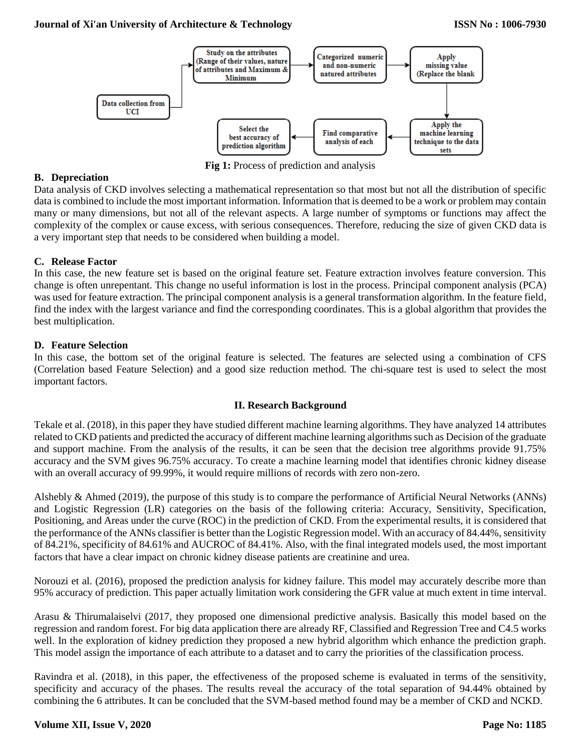

**Fig 1:** Process of prediction and analysis

# **B. Depreciation**

Data analysis of CKD involves selecting a mathematical representation so that most but not all the distribution of specific data is combined to include the most important information. Information that is deemed to be a work or problem may contain many or many dimensions, but not all of the relevant aspects. A large number of symptoms or functions may affect the complexity of the complex or cause excess, with serious consequences. Therefore, reducing the size of given CKD data is a very important step that needs to be considered when building a model.

# **C. Release Factor**

In this case, the new feature set is based on the original feature set. Feature extraction involves feature conversion. This change is often unrepentant. This change no useful information is lost in the process. Principal component analysis (PCA) was used for feature extraction. The principal component analysis is a general transformation algorithm. In the feature field, find the index with the largest variance and find the corresponding coordinates. This is a global algorithm that provides the best multiplication.

# **D. Feature Selection**

In this case, the bottom set of the original feature is selected. The features are selected using a combination of CFS (Correlation based Feature Selection) and a good size reduction method. The chi-square test is used to select the most important factors.

# **II. Research Background**

Tekale et al. (2018), in this paper they have studied different machine learning algorithms. They have analyzed 14 attributes related to CKD patients and predicted the accuracy of different machine learning algorithms such as Decision of the graduate and support machine. From the analysis of the results, it can be seen that the decision tree algorithms provide 91.75% accuracy and the SVM gives 96.75% accuracy. To create a machine learning model that identifies chronic kidney disease with an overall accuracy of 99.99%, it would require millions of records with zero non-zero.

Alshebly & Ahmed (2019), the purpose of this study is to compare the performance of Artificial Neural Networks (ANNs) and Logistic Regression (LR) categories on the basis of the following criteria: Accuracy, Sensitivity, Specification, Positioning, and Areas under the curve (ROC) in the prediction of CKD. From the experimental results, it is considered that the performance of the ANNs classifier is better than the Logistic Regression model. With an accuracy of 84.44%, sensitivity of 84.21%, specificity of 84.61% and AUCROC of 84.41%. Also, with the final integrated models used, the most important factors that have a clear impact on chronic kidney disease patients are creatinine and urea.

Norouzi et al. (2016), proposed the prediction analysis for kidney failure. This model may accurately describe more than 95% accuracy of prediction. This paper actually limitation work considering the GFR value at much extent in time interval.

Arasu & Thirumalaiselvi (2017, they proposed one dimensional predictive analysis. Basically this model based on the regression and random forest. For big data application there are already RF, Classified and Regression Tree and C4.5 works well. In the exploration of kidney prediction they proposed a new hybrid algorithm which enhance the prediction graph. This model assign the importance of each attribute to a dataset and to carry the priorities of the classification process.

Ravindra et al. (2018), in this paper, the effectiveness of the proposed scheme is evaluated in terms of the sensitivity, specificity and accuracy of the phases. The results reveal the accuracy of the total separation of 94.44% obtained by combining the 6 attributes. It can be concluded that the SVM-based method found may be a member of CKD and NCKD.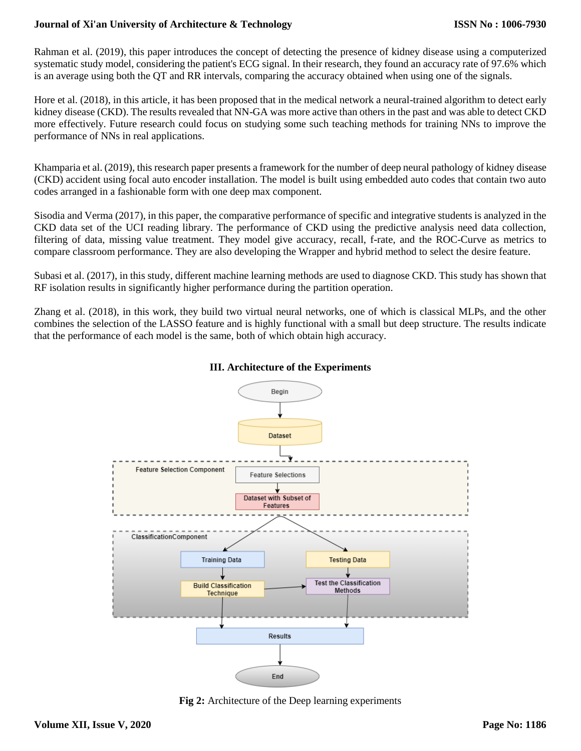Rahman et al. (2019), this paper introduces the concept of detecting the presence of kidney disease using a computerized systematic study model, considering the patient's ECG signal. In their research, they found an accuracy rate of 97.6% which is an average using both the QT and RR intervals, comparing the accuracy obtained when using one of the signals.

Hore et al. (2018), in this article, it has been proposed that in the medical network a neural-trained algorithm to detect early kidney disease (CKD). The results revealed that NN-GA was more active than others in the past and was able to detect CKD more effectively. Future research could focus on studying some such teaching methods for training NNs to improve the performance of NNs in real applications.

Khamparia et al. (2019), this research paper presents a framework for the number of deep neural pathology of kidney disease (CKD) accident using focal auto encoder installation. The model is built using embedded auto codes that contain two auto codes arranged in a fashionable form with one deep max component.

Sisodia and Verma (2017), in this paper, the comparative performance of specific and integrative students is analyzed in the CKD data set of the UCI reading library. The performance of CKD using the predictive analysis need data collection, filtering of data, missing value treatment. They model give accuracy, recall, f-rate, and the ROC-Curve as metrics to compare classroom performance. They are also developing the Wrapper and hybrid method to select the desire feature.

Subasi et al. (2017), in this study, different machine learning methods are used to diagnose CKD. This study has shown that RF isolation results in significantly higher performance during the partition operation.

Zhang et al. (2018), in this work, they build two virtual neural networks, one of which is classical MLPs, and the other combines the selection of the LASSO feature and is highly functional with a small but deep structure. The results indicate that the performance of each model is the same, both of which obtain high accuracy.



# **III. Architecture of the Experiments**

**Fig 2:** Architecture of the Deep learning experiments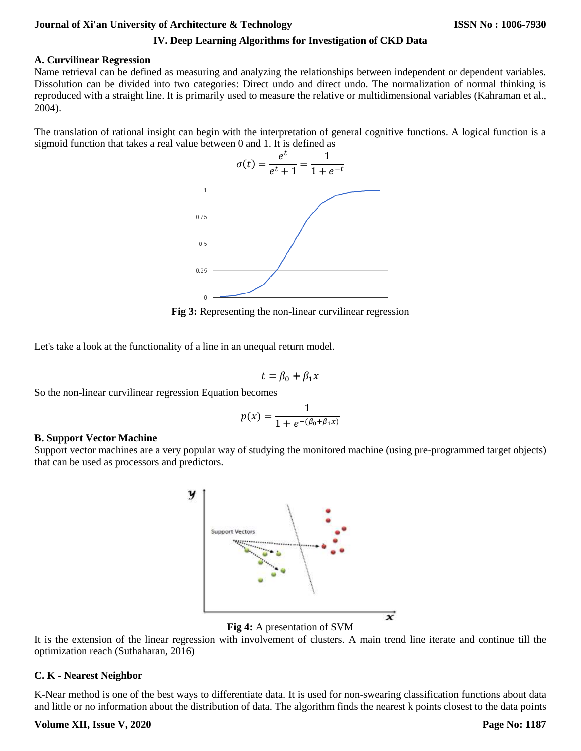#### **IV. Deep Learning Algorithms for Investigation of CKD Data**

#### **A. Curvilinear Regression**

Name retrieval can be defined as measuring and analyzing the relationships between independent or dependent variables. Dissolution can be divided into two categories: Direct undo and direct undo. The normalization of normal thinking is reproduced with a straight line. It is primarily used to measure the relative or multidimensional variables (Kahraman et al., 2004).

The translation of rational insight can begin with the interpretation of general cognitive functions. A logical function is a sigmoid function that takes a real value between 0 and 1. It is defined as



**Fig 3:** Representing the non-linear curvilinear regression

Let's take a look at the functionality of a line in an unequal return model.

$$
t=\beta_0+\beta_1 x
$$

So the non-linear curvilinear regression Equation becomes

$$
p(x) = \frac{1}{1 + e^{-(\beta_0 + \beta_1 x)}}
$$

#### **B. Support Vector Machine**

Support vector machines are a very popular way of studying the monitored machine (using pre-programmed target objects) that can be used as processors and predictors.



**Fig 4:** A presentation of SVM

It is the extension of the linear regression with involvement of clusters. A main trend line iterate and continue till the optimization reach (Suthaharan, 2016)

# **C. K - Nearest Neighbor**

K-Near method is one of the best ways to differentiate data. It is used for non-swearing classification functions about data and little or no information about the distribution of data. The algorithm finds the nearest k points closest to the data points

# **Volume XII, Issue V, 2020**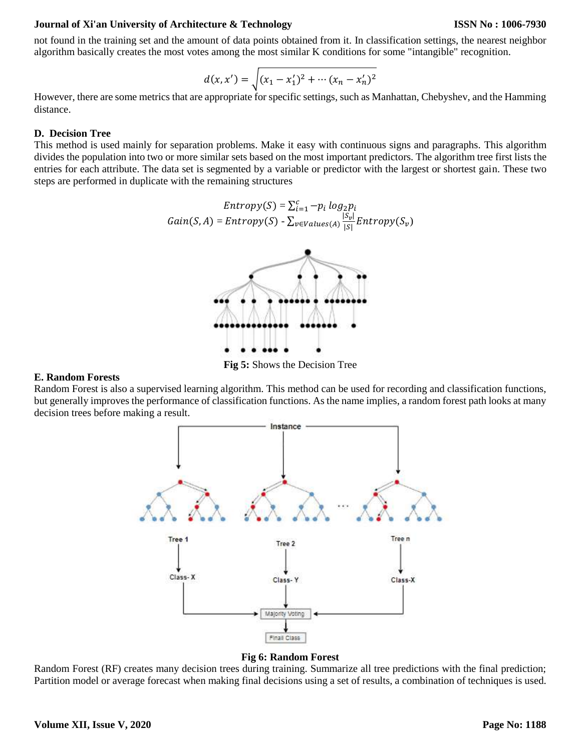not found in the training set and the amount of data points obtained from it. In classification settings, the nearest neighbor algorithm basically creates the most votes among the most similar K conditions for some "intangible" recognition.

$$
d(x, x') = \sqrt{(x_1 - x_1')^2 + \dots + (x_n - x_n')^2}
$$

However, there are some metrics that are appropriate for specific settings, such as Manhattan, Chebyshev, and the Hamming distance.

#### **D. Decision Tree**

This method is used mainly for separation problems. Make it easy with continuous signs and paragraphs. This algorithm divides the population into two or more similar sets based on the most important predictors. The algorithm tree first lists the entries for each attribute. The data set is segmented by a variable or predictor with the largest or shortest gain. These two steps are performed in duplicate with the remaining structures

$$
Entropy(S) = \sum_{i=1}^{c} -p_i log_2 p_i
$$
  

$$
Gain(S, A) = Entropy(S) - \sum_{v \in Values(A)} \frac{|S_v|}{|S|} Entropy(S_v)
$$



**Fig 5:** Shows the Decision Tree

#### **E. Random Forests**

Random Forest is also a supervised learning algorithm. This method can be used for recording and classification functions, but generally improves the performance of classification functions. As the name implies, a random forest path looks at many decision trees before making a result.



#### **Fig 6: Random Forest**

Random Forest (RF) creates many decision trees during training. Summarize all tree predictions with the final prediction; Partition model or average forecast when making final decisions using a set of results, a combination of techniques is used.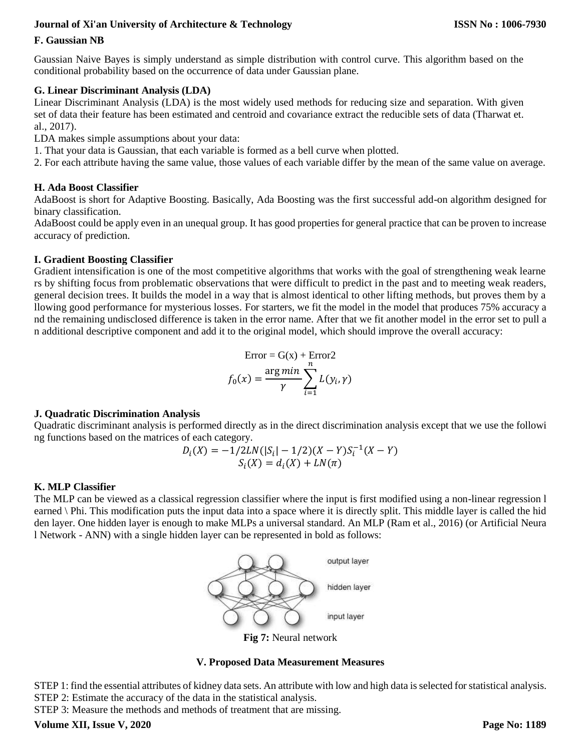# **F. Gaussian NB**

Gaussian Naive Bayes is simply understand as simple distribution with control curve. This algorithm based on the conditional probability based on the occurrence of data under Gaussian plane.

# **G. Linear Discriminant Analysis (LDA)**

Linear Discriminant Analysis (LDA) is the most widely used methods for reducing size and separation. With given set of data their feature has been estimated and centroid and covariance extract the reducible sets of data (Tharwat et. al., 2017).

LDA makes simple assumptions about your data:

1. That your data is Gaussian, that each variable is formed as a bell curve when plotted.

2. For each attribute having the same value, those values of each variable differ by the mean of the same value on average.

# **H. Ada Boost Classifier**

AdaBoost is short for Adaptive Boosting. Basically, Ada Boosting was the first successful add-on algorithm designed for binary classification.

AdaBoost could be apply even in an unequal group. It has good properties for general practice that can be proven to increase accuracy of prediction.

# **I. Gradient Boosting Classifier**

Gradient intensification is one of the most competitive algorithms that works with the goal of strengthening weak learne rs by shifting focus from problematic observations that were difficult to predict in the past and to meeting weak readers, general decision trees. It builds the model in a way that is almost identical to other lifting methods, but proves them by a llowing good performance for mysterious losses. For starters, we fit the model in the model that produces 75% accuracy a nd the remaining undisclosed difference is taken in the error name. After that we fit another model in the error set to pull a n additional descriptive component and add it to the original model, which should improve the overall accuracy:

$$
Error = G(x) + Error2
$$

$$
f_0(x) = \frac{\arg min}{\gamma} \sum_{i=1}^{n} L(y_i, \gamma)
$$

# **J. Quadratic Discrimination Analysis**

Quadratic discriminant analysis is performed directly as in the direct discrimination analysis except that we use the followi ng functions based on the matrices of each category.

$$
D_i(X) = -1/2LN(|S_i| - 1/2)(X - Y)S_i^{-1}(X - Y)
$$
  

$$
S_i(X) = d_i(X) + LN(\pi)
$$

# **K. MLP Classifier**

The MLP can be viewed as a classical regression classifier where the input is first modified using a non-linear regression l earned \ Phi. This modification puts the input data into a space where it is directly split. This middle layer is called the hid den layer. One hidden layer is enough to make MLPs a universal standard. An MLP (Ram et al., 2016) (or Artificial Neura l Network - ANN) with a single hidden layer can be represented in bold as follows:



# **V. Proposed Data Measurement Measures**

STEP 1: find the essential attributes of kidney data sets. An attribute with low and high data is selected for statistical analysis. STEP 2: Estimate the accuracy of the data in the statistical analysis.

STEP 3: Measure the methods and methods of treatment that are missing.

# **Volume XII, Issue V, 2020**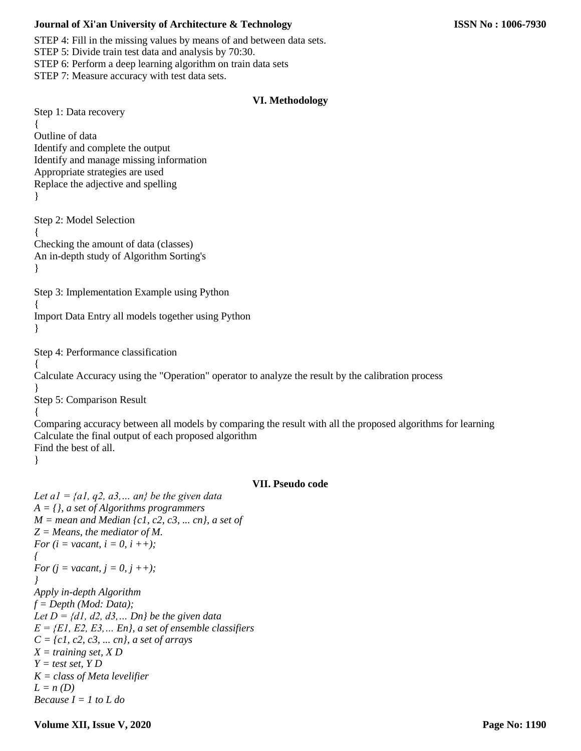STEP 4: Fill in the missing values by means of and between data sets. STEP 5: Divide train test data and analysis by 70:30. STEP 6: Perform a deep learning algorithm on train data sets

STEP 7: Measure accuracy with test data sets.

```
VI. Methodology
```

```
Step 1: Data recovery
{
Outline of data
Identify and complete the output
Identify and manage missing information
Appropriate strategies are used
Replace the adjective and spelling
}
Step 2: Model Selection
{
Checking the amount of data (classes)
An in-depth study of Algorithm Sorting's
}
Step 3: Implementation Example using Python
{
Import Data Entry all models together using Python
}
Step 4: Performance classification
{
Calculate Accuracy using the "Operation" operator to analyze the result by the calibration process
}
Step 5: Comparison Result
{
Comparing accuracy between all models by comparing the result with all the proposed algorithms for learning
Calculate the final output of each proposed algorithm
Find the best of all.
}
                                                    VII. Pseudo code
```

```
Let al = \{a1, q2, a3, \ldots a n\} be the given data
A = {}, a set of Algorithms programmers
M = mean and Median {c1, c2, c3, ... cn}, a set of
Z = Means, the mediator of M.
For (i = vacant, i = 0, i++);
{
For (j = \text{vacant}, j = 0, j++);
}
Apply in-depth Algorithm
f = Depth (Mod: Data);
Let D = {d1, d2, d3,… Dn} be the given data
E = {E1, E2, E3,… En}, a set of ensemble classifiers
C = {c1, c2, c3, ... cn}, a set of arrays
X = training set, X D
Y = test set, Y D
K = class of Meta levelifier
L = n (D)
Because I = 1 to L do
```
# **Volume XII, Issue V, 2020**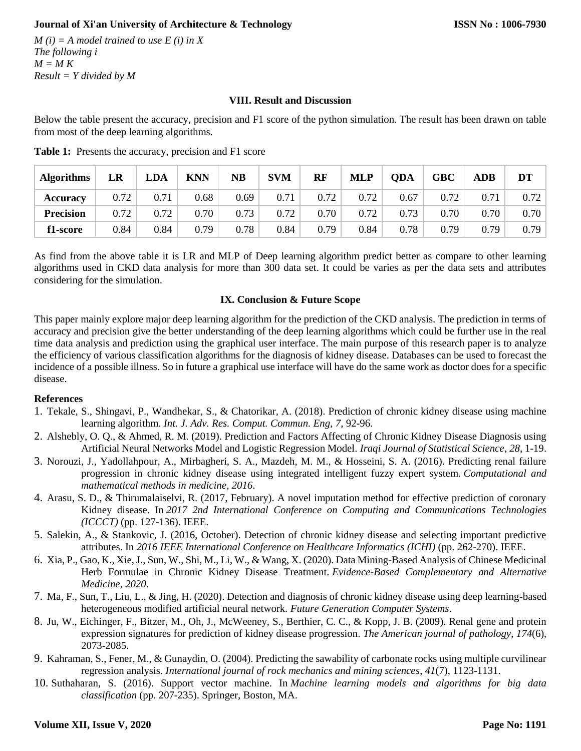*M (i) = A model trained to use E (i) in X The following i M = M K Result = Y divided by M*

# **VIII. Result and Discussion**

Below the table present the accuracy, precision and F1 score of the python simulation. The result has been drawn on table from most of the deep learning algorithms.

| <b>Algorithms</b> | LR   | LDA  | <b>KNN</b> | <b>NB</b> | <b>SVM</b> | <b>RF</b> | <b>MLP</b> | <b>ODA</b> | <b>GBC</b> | <b>ADB</b> | DT   |
|-------------------|------|------|------------|-----------|------------|-----------|------------|------------|------------|------------|------|
| <b>Accuracy</b>   | 0.72 | 0.71 | 0.68       | 0.69      | 0.71       | 0.72      | 0.72       | 0.67       | 0.72       | 0.71       | 0.72 |
| <b>Precision</b>  | 0.72 | 0.72 | 0.70       | 0.73      | 0.72       | 0.70      | 0.72       | 0.73       | 0.70       | 0.70       | 0.70 |
| f1-score          | 0.84 | 0.84 | 0.79       | 0.78      | 0.84       | 0.79      | 0.84       | 0.78       | 0.79       | 0.79       | 0.79 |

**Table 1:** Presents the accuracy, precision and F1 score

As find from the above table it is LR and MLP of Deep learning algorithm predict better as compare to other learning algorithms used in CKD data analysis for more than 300 data set. It could be varies as per the data sets and attributes considering for the simulation.

# **IX. Conclusion & Future Scope**

This paper mainly explore major deep learning algorithm for the prediction of the CKD analysis. The prediction in terms of accuracy and precision give the better understanding of the deep learning algorithms which could be further use in the real time data analysis and prediction using the graphical user interface. The main purpose of this research paper is to analyze the efficiency of various classification algorithms for the diagnosis of kidney disease. Databases can be used to forecast the incidence of a possible illness. So in future a graphical use interface will have do the same work as doctor does for a specific disease.

# **References**

- 1. Tekale, S., Shingavi, P., Wandhekar, S., & Chatorikar, A. (2018). Prediction of chronic kidney disease using machine learning algorithm. *Int. J. Adv. Res. Comput. Commun. Eng*, *7*, 92-96.
- 2. Alshebly, O. Q., & Ahmed, R. M. (2019). Prediction and Factors Affecting of Chronic Kidney Disease Diagnosis using Artificial Neural Networks Model and Logistic Regression Model. *Iraqi Journal of Statistical Science*, *28*, 1-19.
- 3. Norouzi, J., Yadollahpour, A., Mirbagheri, S. A., Mazdeh, M. M., & Hosseini, S. A. (2016). Predicting renal failure progression in chronic kidney disease using integrated intelligent fuzzy expert system. *Computational and mathematical methods in medicine*, *2016*.
- 4. Arasu, S. D., & Thirumalaiselvi, R. (2017, February). A novel imputation method for effective prediction of coronary Kidney disease. In *2017 2nd International Conference on Computing and Communications Technologies (ICCCT)* (pp. 127-136). IEEE.
- 5. Salekin, A., & Stankovic, J. (2016, October). Detection of chronic kidney disease and selecting important predictive attributes. In *2016 IEEE International Conference on Healthcare Informatics (ICHI)* (pp. 262-270). IEEE.
- 6. Xia, P., Gao, K., Xie, J., Sun, W., Shi, M., Li, W., & Wang, X. (2020). Data Mining-Based Analysis of Chinese Medicinal Herb Formulae in Chronic Kidney Disease Treatment. *Evidence-Based Complementary and Alternative Medicine*, *2020*.
- 7. Ma, F., Sun, T., Liu, L., & Jing, H. (2020). Detection and diagnosis of chronic kidney disease using deep learning-based heterogeneous modified artificial neural network. *Future Generation Computer Systems*.
- 8. Ju, W., Eichinger, F., Bitzer, M., Oh, J., McWeeney, S., Berthier, C. C., & Kopp, J. B. (2009). Renal gene and protein expression signatures for prediction of kidney disease progression. *The American journal of pathology*, *174*(6), 2073-2085.
- 9. Kahraman, S., Fener, M., & Gunaydin, O. (2004). Predicting the sawability of carbonate rocks using multiple curvilinear regression analysis. *International journal of rock mechanics and mining sciences*, *41*(7), 1123-1131.
- 10. Suthaharan, S. (2016). Support vector machine. In *Machine learning models and algorithms for big data classification* (pp. 207-235). Springer, Boston, MA.